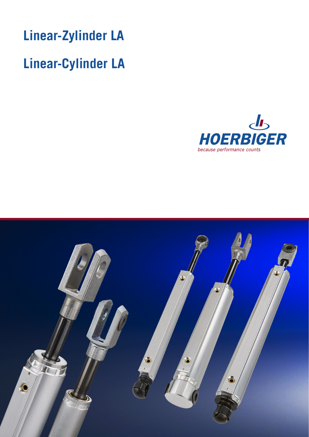

# **Linear-Cylinder LA**



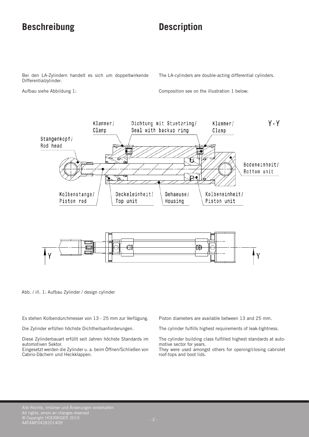### **Beschreibung Description**

Bei den LA-Zylindern handelt es sich um doppeltwirkende Differentialzylinder.

Aufbau siehe Abbildung 1:

The LA-cylinders are double-acting differential cylinders.

Composition see on the illustration 1 below:



Abb. / ill. 1: Aufbau Zylinder / design cylinder

Es stehen Kolbendurchmesser von 13 - 25 mm zur Verfügung.

Die Zylinder erfüllen höchste Dichtheitsanforderungen.

Diese Zylinderbauart erfüllt seit Jahren höchste Standards im automotiven Sektor.

Eingesetzt werden die Zylinder u. a. beim Öffnen/Schließen von Cabrio-Dächern und Heckklappen.

Piston diameters are available between 13 and 25 mm.

The cylinder fulfills highest requirements of leak-tightness.

The cylinder building class fulfilled highest standards at automotive sector for years.

They were used amongst others for opening/closing cabriolet roof-tops and boot lids.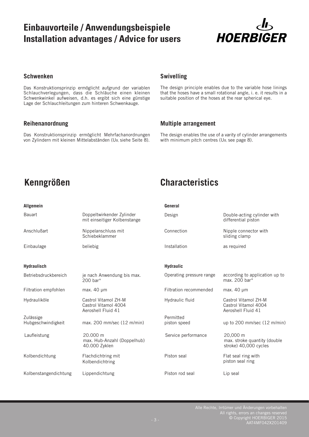### **Einbauvorteile / Anwendungsbeispiele Installation advantages / Advice for users**



### **Schwenken**

Das Konstruktionsprinzip ermöglicht aufgrund der variablen Schlauchverlegungen, dass die Schläuche einen kleinen Schwenkwinkel aufweisen, d.h. es ergibt sich eine günstige Lage der Schlauchleitungen zum hinteren Schwenkauge.

### **Reihenanordnung**

Das Konstruktionsprinzip ermöglicht Mehrfachanordnungen von Zylindern mit kleinen Mittelabständen (UB, siehe Seite 8).

### **Swivelling**

The design principle enables due to the variable hose linings that the hoses have a small rotational angle, i. e. it results in a suitable position of the hoses at the rear spherical eye.

### **Multiple arrangement**

The design enables the use of a varity of cylinder arrangements with minimum pitch centres (U<sub>B</sub>, see page 8).

### **Allgemein**

## **Kenngrößen Characteristics**

#### **General**

| <b>Bauart</b>                          | Doppeltwirkender Zylinder<br>mit einseitiger Kolbenstange          | Design                    | Double-acting cylinder with<br>differential piston                 |  |  |  |
|----------------------------------------|--------------------------------------------------------------------|---------------------------|--------------------------------------------------------------------|--|--|--|
| Anschlußart                            | Nippelanschluss mit<br>Schiebeklammer                              | Connection                | Nipple connector with<br>sliding clamp                             |  |  |  |
| Einbaulage                             | beliebig                                                           | Installation              | as required                                                        |  |  |  |
| <b>Hydraulisch</b>                     |                                                                    | <b>Hydraulic</b>          |                                                                    |  |  |  |
| Betriebsdruckbereich                   | je nach Anwendung bis max.<br>200 bar*                             | Operating pressure range  | according to application up to<br>max. 200 bar*                    |  |  |  |
| Filtration empfohlen                   | max. $40 \mu m$                                                    | Filtration recommended    | max. $40 \mu m$                                                    |  |  |  |
| Hydrauliköle                           | Castrol Vitamol ZH-M<br>Castrol Vitamol 4004<br>Aeroshell Fluid 41 | Hydraulic fluid           | Castrol Vitamol ZH-M<br>Castrol Vitamol 4004<br>Aeroshell Fluid 41 |  |  |  |
| Zulässige<br><b>Hubgeschwindigkeit</b> | max. 200 mm/sec (12 m/min)                                         | Permitted<br>piston speed | up to 200 mm/sec (12 m/min)                                        |  |  |  |
| Laufleistung                           | 20.000 m<br>max. Hub-Anzahl (Doppelhub)<br>40.000 Zyklen           | Service performance       | 20,000 m<br>max. stroke quantity (double<br>stroke) 40,000 cycles  |  |  |  |
| Kolbendichtung                         | Flachdichtring mit<br>Kolbendichtring                              | Piston seal               | Flat seal ring with<br>piston seal ring                            |  |  |  |
| Kolbenstangendichtung                  | Lippendichtung                                                     | Piston rod seal           | Lip seal                                                           |  |  |  |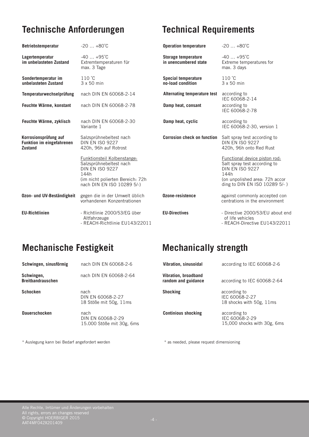## **Technische Anforderungen Technical Requirements**

| <b>Betriebstemperatur</b>                                                   | $-20+80^{\circ}C$                                                                                                                                          | <b>Operation temperature</b>                        | $-20+80^{\circ}C$                                                                                                                                                   |
|-----------------------------------------------------------------------------|------------------------------------------------------------------------------------------------------------------------------------------------------------|-----------------------------------------------------|---------------------------------------------------------------------------------------------------------------------------------------------------------------------|
| Lagertemperatur<br>im unbelasteten Zustand                                  | $-40+95^{\circ}C$<br>Extremtemperaturen für<br>max. 3 Tage                                                                                                 | <b>Storage temperature</b><br>in unencumbered state | $-40+95^{\circ}C$<br>Extreme temperatures for<br>max. 3 days                                                                                                        |
| Sondertemperatur im<br>unbelasteten Zustand                                 | $110 \degree C$<br>$3 \times 50$ min                                                                                                                       | <b>Special temperature</b><br>no-load condition     | $110 \degree C$<br>$3 \times 50$ min                                                                                                                                |
| Temperaturwechselprüfung                                                    | nach DIN EN 60068-2-14                                                                                                                                     | Alternating temperature test                        | according to<br>IEC 60068-2-14                                                                                                                                      |
| Feuchte Wärme, konstant                                                     | nach DIN EN 60068-2-78                                                                                                                                     | Damp heat, consant                                  | according to<br>IEC 60068-2-78                                                                                                                                      |
| Feuchte Wärme, zyklisch                                                     | nach DIN EN 60068-2-30<br>Variante 1                                                                                                                       | Damp heat, cyclic                                   | according to<br>IEC 60068-2-30, version 1                                                                                                                           |
| Korrosionsprüfung auf<br><b>Funktion im eingefahrenen</b><br><b>Zustand</b> | Salzsprühnebeltest nach<br><b>DIN FN ISO 9227</b><br>420h, 96h auf Rotrost                                                                                 | <b>Corrosion check on function</b>                  | Salt spray test according to<br><b>DIN EN ISO 9227</b><br>420h, 96h onto Red Rust                                                                                   |
|                                                                             | Funktionsteil Kolbenstange:<br>Salzsprühnebeltest nach<br><b>DIN EN ISO 9227</b><br>144h<br>(im nicht polierten Bereich: 72h<br>nach DIN EN ISO 10289 5/-) |                                                     | Functional device piston rod:<br>Salt spray test according to<br><b>DIN EN ISO 9227</b><br>144h<br>(on unpolished area: 72h accor<br>ding to DIN EN ISO 10289 5/- ) |
| Ozon- und UV-Beständigkeit                                                  | gegen die in der Umwelt üblich<br>vorhandenen Konzentrationen                                                                                              | Ozone-resistence                                    | against commonly accepted con<br>centrations in the environment                                                                                                     |
| <b>EU-Richtlinien</b>                                                       | - Richtlinie 2000/53/EG über<br>Altfahrzeuge<br>- REACH-Richtlinie EU143/22011                                                                             | <b>EU-Directives</b>                                | - Directive 2000/53/EU about end<br>of life vehicles<br>- REACH-Directive EU143/22011                                                                               |

### **Mechanische Festigkeit Mechanically strength**

| Schwingen, sinusförmig                 | nach DIN EN 60068-2-6                                  | Vibration, sinusoidal                       | according to IEC 60068-2-6                                    |
|----------------------------------------|--------------------------------------------------------|---------------------------------------------|---------------------------------------------------------------|
| Schwingen,<br><b>Breitbandrauschen</b> | nach DIN EN 60068-2-64                                 | Vibration, broadband<br>random and guidance | according to IEC 60068-2-64                                   |
| <b>Schocken</b>                        | nach<br>DIN EN 60068-2-27<br>18 Stöße mit 50g, 11ms    | <b>Shocking</b>                             | according to<br>IEC 60068-2-27<br>18 shocks with 50g, 11ms    |
| <b>Dauerschocken</b>                   | nach<br>DIN EN 60068-2-29<br>15.000 Stöße mit 30g, 6ms | <b>Continious shocking</b>                  | according to<br>IEC 60068-2-29<br>15,000 shocks with 30g, 6ms |

\* Auslegung kann bei Bedarf angefordert werden \* as needed, please request dimensioning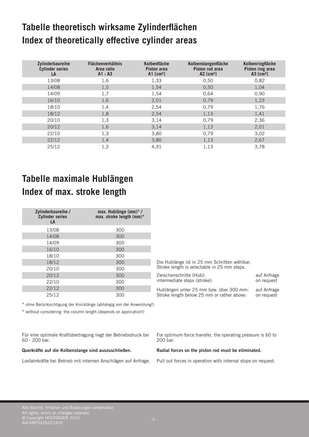# **Tabelle theoretisch wirksame Zylinderflächen Index of theoretically effective cylinder areas**

| <b>Zylinderbaureihe</b><br><b>Cylinder series</b><br>LA | <b>Flächenverhältnis</b><br>Area ratio<br>A1: A3 | Kolbenfläche<br>Piston area<br>A1 $[cm^2]$ | Kolbenstangenfläche<br>Piston rod area<br>A2 $[cm2]$ | Kolbenringfläche<br>Piston ring area<br>A3 $[cm2]$ |
|---------------------------------------------------------|--------------------------------------------------|--------------------------------------------|------------------------------------------------------|----------------------------------------------------|
| 13/08                                                   | 1,6                                              | 1,33                                       | 0,50                                                 | 0,82                                               |
| 14/08                                                   | 1,5                                              | 1,54                                       | 0,50                                                 | 1,04                                               |
| 14/09                                                   | 1,7                                              | 1,54                                       | 0,64                                                 | 0,90                                               |
| 16/10                                                   | 1,6                                              | 2,01                                       | 0,79                                                 | 1,23                                               |
| 18/10                                                   | 1,4                                              | 2,54                                       | 0,79                                                 | 1,76                                               |
| 18/12                                                   | 1,8                                              | 2,54                                       | 1,13                                                 | 1,41                                               |
| 20/10                                                   | 1,3                                              | 3,14                                       | 0,79                                                 | 2,36                                               |
| 20/12                                                   | 1,6                                              | 3,14                                       | 1,13                                                 | 2,01                                               |
| 22/10                                                   | 1,3                                              | 3,80                                       | 0,79                                                 | 3,02                                               |
| 22/12                                                   | 1,4                                              | 3,80                                       | 1,13                                                 | 2,67                                               |
| 25/12                                                   | 1,3                                              | 4,91                                       | 1,13                                                 | 3,78                                               |

# **Tabelle maximale Hublängen Index of max. stroke length**

| Zylinderbaureihe /<br><b>Cylinder series</b><br>LA | max. Hublänge $(mm)^*$ /<br>max. stroke length (mm)* |
|----------------------------------------------------|------------------------------------------------------|
| 13/08                                              | 300                                                  |
| 14/08                                              | 300                                                  |
| 14/09                                              | 300                                                  |
| 16/10                                              | 300                                                  |
| 18/10                                              | 300                                                  |
| 18/12                                              | 300                                                  |
| 20/10                                              | 300                                                  |
| 20/12                                              | 300                                                  |
| 22/10                                              | 300                                                  |
| 22/12                                              | 300                                                  |
| 25/12                                              | 300                                                  |

\* ohne Berücksichtigung der Knicklänge (abhängig von der Anwendung!)

\* without considering the column length (depends on application!)

Für eine optimale Kraftübertragung liegt der Betriebsdruck bei 60 - 200 bar.

#### **Querkräfte auf die Kolbenstange sind auszuschließen.**

Losfahrkräfte bei Betrieb mit internen Anschlägen auf Anfrage.

Die Hublänge ist in 25 mm Schritten wählbar. Stroke length is selectable in 25 mm steps.

Zwischenschritte (Hub): auf Anfrage intermediate steps (stroke): on request

Hublängen unter 25 mm bzw. über 300 mm: auf Anfrage Stroke length below 25 mm or rather above:

For optimum force transfer, the operating pressure is 60 to 200 bar.

#### **Radial forces on the piston rod must be eliminated.**

Pull out forces in operation with internal stops on request.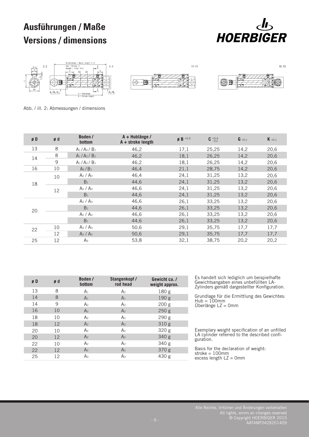# **Ausführungen / Maße Versions / dimensions**









 $Y2-Y2$ 

Abb. / ill. 2: Abmessungen / dimensions

| øD | ød | Boden /<br>bottom               | A + Hublänge /<br>$A +$ stroke length | $\mathbf{g} \mathbf{B}^{+0,3}$ | $C^{+0,4}_{-0,2}$ | $G \pm 0.1$ | $K_{\pm 0,1}$ |
|----|----|---------------------------------|---------------------------------------|--------------------------------|-------------------|-------------|---------------|
| 13 | 8  | $A_1/A_2/B_1$                   | 46,2                                  | 17,1                           | 25,25             | 14,2        | 20,6          |
| 14 | 8  | $A_1/A_2/B_1$                   | 46,2                                  | 18,1                           | 26,25             | 14,2        | 20,6          |
|    | 9  | $A_1/A_2/B_1$                   | 46,2                                  | 18,1                           | 26,25             | 14,2        | 20,6          |
| 16 | 10 | A <sub>2</sub> /B <sub>1</sub>  | 46,4                                  | 21,1                           | 28,75             | 14,2        | 20,6          |
|    | 10 | A <sub>2</sub> / A <sub>3</sub> | 46,4                                  | 24,1                           | 31,25             | 13,2        | 20,6          |
| 18 |    | B <sub>1</sub>                  | 44,6                                  | 24,1                           | 31,25             | 13,2        | 20,6          |
|    | 12 | A <sub>2</sub> / A <sub>3</sub> | 46,6                                  | 24,1                           | 31,25             | 13,2        | 20,6          |
|    |    | B <sub>1</sub>                  | 44,6                                  | 24,1                           | 31,25             | 13,2        | 20,6          |
|    |    | A <sub>2</sub> / A <sub>3</sub> | 46,6                                  | 26,1                           | 33,25             | 13,2        | 20,6          |
| 20 |    | B <sub>1</sub>                  | 44,6                                  | 26,1                           | 33,25             | 13,2        | 20,6          |
|    |    | A <sub>2</sub> / A <sub>3</sub> | 46,6                                  | 26,1                           | 33,25             | 13,2        | 20,6          |
|    |    | B <sub>1</sub>                  | 44,6                                  | 26,1                           | 33,25             | 13,2        | 20,6          |
| 22 | 10 | A <sub>2</sub> / A <sub>3</sub> | 50,6                                  | 29,1                           | 35,75             | 17,7        | 17,7          |
|    | 12 | A <sub>2</sub> / A <sub>3</sub> | 50,6                                  | 29,1                           | 35,75             | 17,7        | 17,7          |
| 25 | 12 | A <sub>3</sub>                  | 53,8                                  | 32,1                           | 38,75             | 20,2        | 20,2          |

| øD | ød | Boden /<br>bottom | Stangenkopf /<br>rod head | Gewicht ca./<br>weight approx. |
|----|----|-------------------|---------------------------|--------------------------------|
| 13 | 8  | A <sub>1</sub>    | A <sub>2</sub>            | 180 g                          |
| 14 | 8  | A <sub>1</sub>    | A <sub>1</sub>            | 190 g                          |
| 14 | 9  | A <sub>2</sub>    | A <sub>2</sub>            | 200 <sub>g</sub>               |
| 16 | 10 | A <sub>2</sub>    | A <sub>2</sub>            | 250 <sub>g</sub>               |
| 18 | 10 | A <sub>2</sub>    | A <sub>2</sub>            | 290 g                          |
| 18 | 12 | A <sub>2</sub>    | A <sub>2</sub>            | 310 g                          |
| 20 | 10 | A <sub>2</sub>    | A <sub>2</sub>            | 320 g                          |
| 20 | 12 | A <sub>2</sub>    | A <sub>2</sub>            | 340 g                          |
| 22 | 10 | A <sub>2</sub>    | A <sub>2</sub>            | 340 g                          |
| 22 | 12 | A <sub>2</sub>    | A <sub>2</sub>            | 370 g                          |
| 25 | 12 | Αз                | A <sub>3</sub>            | 430 g                          |

Es handelt sich lediglich um beispielhafte Gewichtsangaben eines unbefüllten LA-Zylinders gemäß dargestellter Konfiguration.

Grundlage für die Ermittlung des Gewichtes:  $Hub = 100$ mm Überlänge LZ = 0mm

Exemplary weight specification of an unfilled LA cylinder referred to the described configuration.

Basis for the declaration of weight:  $stroke = 100mm$ excess length  $LZ = 0$ mm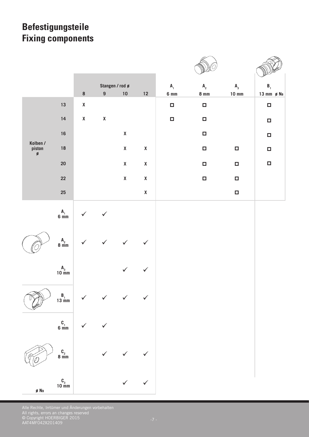# **Befestigungsteile Fixing components**

|                         |                                                                      | 8                  | 9 <sup>1</sup>     | Stangen / rod ø<br>$10\,$ | $12$               | $A_1$<br>$6 \text{ mm}$ | $A_{2}$<br>$8 \text{ mm}$ | $A_{3}$<br>$10 \text{ mm}$ | $B_1$<br>13 mm $\rho$ NB |
|-------------------------|----------------------------------------------------------------------|--------------------|--------------------|---------------------------|--------------------|-------------------------|---------------------------|----------------------------|--------------------------|
|                         | $13$                                                                 | $\pmb{\mathsf{X}}$ |                    |                           |                    | $\Box$                  | $\Box$                    |                            | $\Box$                   |
|                         | 14                                                                   | $\pmb{\mathsf{X}}$ | $\pmb{\mathsf{X}}$ |                           |                    | $\Box$                  | $\Box$                    |                            | $\Box$                   |
|                         | $16\,$                                                               |                    |                    | $\pmb{\mathsf{X}}$        |                    |                         | $\Box$                    |                            | $\Box$                   |
| Kolben /<br>piston<br>ø | 18                                                                   |                    |                    | $\pmb{\mathsf{X}}$        | $\pmb{\mathsf{X}}$ |                         | $\Box$                    | $\Box$                     | $\Box$                   |
|                         | $20\,$                                                               |                    |                    | $\pmb{\mathsf{X}}$        | $\pmb{\mathsf{X}}$ |                         | $\Box$                    | $\Box$                     | $\Box$                   |
|                         | ${\bf 22}$                                                           |                    |                    | $\pmb{\mathsf{X}}$        | $\pmb{\mathsf{X}}$ |                         | $\Box$                    | $\Box$                     |                          |
|                         | ${\bf 25}$                                                           |                    |                    |                           | $\pmb{\mathsf{X}}$ |                         |                           | $\Box$                     |                          |
|                         | $\mathsf{A}_1$ 6 $\mathsf{mm}$                                       |                    | $\checkmark$       |                           |                    |                         |                           |                            |                          |
|                         | $\begin{array}{c} \mathsf{A}_2 \\ \mathsf{8} \text{ mm} \end{array}$ |                    |                    |                           | $\checkmark$       |                         |                           |                            |                          |
|                         | $A_3$<br>10 mm                                                       |                    |                    | $\checkmark$              | $\checkmark$       |                         |                           |                            |                          |
|                         | $\frac{B_1}{13 \text{ mm}}$                                          | $\checkmark$       |                    | $\checkmark$              | $\checkmark$       |                         |                           |                            |                          |
|                         | $\begin{array}{c} {\rm C} \\ 6~{\rm mm} \end{array}$                 | ✓                  | $\checkmark$       |                           |                    |                         |                           |                            |                          |
|                         | $\begin{array}{c} {\rm C_2} \\ 8~{\rm mm} \end{array}$               |                    | $\checkmark$       |                           | $\checkmark$       |                         |                           |                            |                          |
| ø NB                    | $C_3$<br>10 mm                                                       |                    |                    | $\checkmark$              | $\checkmark$       |                         |                           |                            |                          |

Alle Rechte, Irrtümer und Änderungen vorbehalten All rights, errors an changes reserved © Copyright HOERBIGER 2015 AAT4MF042X201409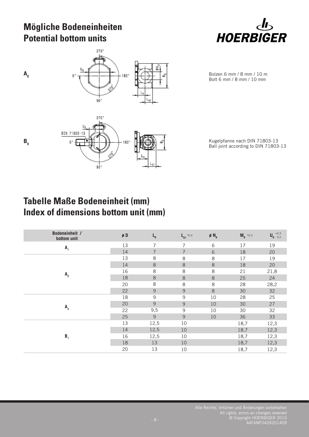### **Mögliche Bodeneinheiten Potential bottom units**



 $A_{x}$ 



Ball joint according to DIN 71803-13

Bolzen 6 mm / 8 mm / 10 m Bolt 6 mm / 8 mm / 10 mm

### **Tabelle Maße Bodeneinheit (mm) Index of dimensions bottom unit (mm)**

 $90^{\circ}$ 

| Bodeneinheit /<br>bottom unit | $\boldsymbol{\mathsf{g}}$ D | $L_{B}$        | $L_{B1}$ ±0,4  | $\emptyset$ N <sub>B</sub> | $M_R^{\pm 0,3}$ | $\boldsymbol{\mathsf{U}}_{\texttt{B}}$ +0,3 |
|-------------------------------|-----------------------------|----------------|----------------|----------------------------|-----------------|---------------------------------------------|
| A <sub>1</sub>                | 13                          | 7              | 7              | 6                          | 17              | 19                                          |
|                               | 14                          | 7              | $\overline{7}$ | 6                          | 18              | 20                                          |
|                               | 13                          | 8              | 8              | 8                          | 17              | 19                                          |
|                               | 14                          | $\,8\,$        | 8              | $\,8\,$                    | 18              | 20                                          |
|                               | 16                          | 8              | 8              | 8                          | 21              | 21,8                                        |
| A <sub>2</sub>                | 18                          | $\,8\,$        | 8              | $\,8\,$                    | 25              | 24                                          |
|                               | 20                          | 8              | 8              | 8                          | 28              | 28,2                                        |
|                               | 22                          | $\overline{9}$ | 9              | $\,8\,$                    | 30              | 32                                          |
|                               | 18                          | $\mathsf 9$    | 9              | 10                         | 28              | 25                                          |
| $A_{3}$                       | 20                          | 9              | $\mathcal{G}$  | 10                         | 30              | 27                                          |
|                               | 22                          | 9,5            | 9              | 10                         | 30              | 32                                          |
|                               | 25                          | 9              | $\mathcal{G}$  | 10                         | 36              | 33                                          |
|                               | 13                          | 12,5           | 10             |                            | 18,7            | 12,3                                        |
|                               | 14                          | 12,5           | 10             |                            | 18,7            | 12,3                                        |
| B <sub>1</sub>                | 16                          | 12,5           | 10             |                            | 18,7            | 12,3                                        |
|                               | 18                          | 13             | 10             |                            | 18,7            | 12,3                                        |
|                               | 20                          | 13             | 10             |                            | 18,7            | 12,3                                        |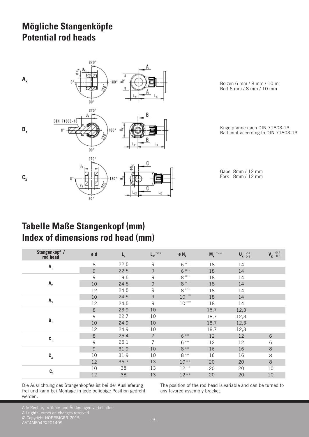### **Mögliche Stangenköpfe Potential rod heads**



Bolzen 6 mm / 8 mm / 10 m Bolt 6 mm / 8 mm / 10 mm

Kugelpfanne nach DIN 71803-13 Ball joint according to DIN 71803-13

Gabel 8mm / 12 mm Fork 8mm / 12 mm

### **Tabelle Maße Stangenkopf (mm) Index of dimensions rod head (mm)**

| Stangenkopf /<br>rod head       | ød             | $\mathsf{L}_{\mathsf{k}}$ | $\mathbf{L_{K1}}^{\pm 0.5}$ | $\emptyset$ N <sub>K</sub>         | $M_{K}$ <sup><math>\pm 0.3</math></sup> | $\boldsymbol{\mathsf{U}}_{\boldsymbol{\mathsf{K}}\, -\, 0,5}^{\, +0,3}$ | $\bm{V_{K}}$ $^{+0,4}_{-0,2}$ |
|---------------------------------|----------------|---------------------------|-----------------------------|------------------------------------|-----------------------------------------|-------------------------------------------------------------------------|-------------------------------|
| ${\bf A}^{\phantom{\dagger}}_1$ | $\,8\,$        | 22,5                      | 9                           | $6$ ****                           | 18                                      | 14                                                                      |                               |
|                                 | 9              | 22,5                      | 9                           | $6$ *E11                           | 18                                      | 14                                                                      |                               |
|                                 | 9              | 19,5                      | 9                           | $8$ <sup><math>\pm</math>E11</sup> | 18                                      | 14                                                                      |                               |
| $\mathsf{A}_{2}$                | 10             | 24,5                      | 9                           | $8$ * Ell                          | 18                                      | 14                                                                      |                               |
|                                 | 12             | 24,5                      | 9                           | $8$ * E11                          | 18                                      | 14                                                                      |                               |
|                                 | 10             | 24,5                      | $\overline{9}$              | $10$ $^{\pm \text{\tiny{E11}}}$    | 18                                      | 14                                                                      |                               |
| $A_{3}$                         | 12             | 24,5                      | 9                           | $10$ $^{\mbox{\tiny{EII}}}$        | 18                                      | 14                                                                      |                               |
|                                 | $\,8\,$        | 23,9                      | 10                          |                                    | 18,7                                    | 12,3                                                                    |                               |
|                                 | $\overline{9}$ | 22,7                      | 10                          |                                    | 18,7                                    | 12,3                                                                    |                               |
| $B_1$                           | 10             | 24,9                      | 10                          |                                    | 18,7                                    | 12,3                                                                    |                               |
|                                 | 12             | 24,9                      | 10                          |                                    | 18,7                                    | 12,3                                                                    |                               |
| $\mathbf{C}_1$                  | $\,8\,$        | 25,4                      | $\overline{7}$              | $6$ <sup>±H9</sup>                 | 12                                      | 12                                                                      | $6\,$                         |
|                                 | $\mathsf 9$    | 25,1                      | 7                           | $6$ $\pm$ H9                       | 12                                      | 12                                                                      | 6                             |
|                                 | $\overline{9}$ | 31,9                      | 10                          | $8$ ***                            | 16                                      | 16                                                                      | $\,8\,$                       |
| $\mathbf{C}_{_2}$               | 10             | 31,9                      | 10                          | $8$ ***                            | 16                                      | 16                                                                      | 8                             |
|                                 | 12             | 36,7                      | 13                          | $10$ $\pm 19$                      | 20                                      | 20                                                                      | $\,8\,$                       |
| $\mathbf{C}_3$                  | 10             | 38                        | 13                          | $12$ $\text{H}$                    | 20                                      | 20                                                                      | 10                            |
|                                 | 12             | 38                        | 13                          | $12$ $\pm 19$                      | 20                                      | 20                                                                      | 10                            |

Die Ausrichtung des Stangenkopfes ist bei der Auslieferung frei und kann bei Montage in jede beliebige Position gedreht werden.

The position of the rod head is variable and can be turned to any favored assembly bracket.

Alle Rechte, Irrtümer und Änderungen vorbehalten All rights, errors an changes reserved © Copyright HOERBIGER 2015 AAT4MF042X201409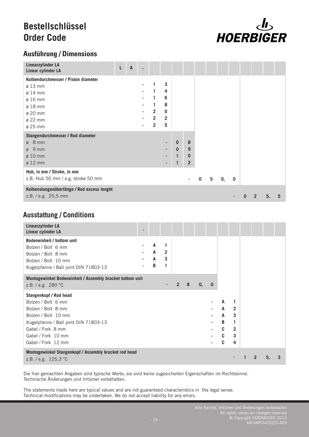### **Bestellschlüssel Order Code**



### **Ausführung / Dimensions**

| <b>Linearzylinder LA</b><br>Linear cylinder LA                    | L | $\overline{A}$ |                |                |          |                |   |                 |    |                         |   |   |    |   |
|-------------------------------------------------------------------|---|----------------|----------------|----------------|----------|----------------|---|-----------------|----|-------------------------|---|---|----|---|
| Kolbendurchmesser / Piston diameter                               |   |                |                |                |          |                |   |                 |    |                         |   |   |    |   |
| $\varnothing$ 13 mm                                               |   |                | 1              | 3              |          |                |   |                 |    |                         |   |   |    |   |
| $\varnothing$ 14 mm                                               |   |                | 1              | 4              |          |                |   |                 |    |                         |   |   |    |   |
| $\varnothing$ 16 mm                                               |   |                | 1              | 6              |          |                |   |                 |    |                         |   |   |    |   |
| $\varnothing$ 18 mm                                               |   |                | 1              | 8              |          |                |   |                 |    |                         |   |   |    |   |
| ø 20 mm                                                           |   |                | $\overline{2}$ | 0              |          |                |   |                 |    |                         |   |   |    |   |
| ø 22 mm                                                           |   |                | $\overline{2}$ | $\overline{2}$ |          |                |   |                 |    |                         |   |   |    |   |
| ø 25 mm                                                           |   |                | $\overline{2}$ | 5              |          |                |   |                 |    |                         |   |   |    |   |
| Stangendurchmesser / Rod diameter                                 |   |                |                |                |          |                |   |                 |    |                         |   |   |    |   |
| $\emptyset$ 8 mm                                                  |   |                |                | ٠              | $\bf{0}$ | 8              |   |                 |    |                         |   |   |    |   |
| $\emptyset$ 9 mm                                                  |   |                |                |                | $\bf{0}$ | 9              |   |                 |    |                         |   |   |    |   |
| $\varnothing$ 10 mm                                               |   |                |                |                |          | $\mathbf 0$    |   |                 |    |                         |   |   |    |   |
| $\varnothing$ 12 mm                                               |   |                |                |                |          | $\overline{2}$ |   |                 |    |                         |   |   |    |   |
| Hub, in mm / Stroke, in mm                                        |   |                |                |                |          |                |   |                 |    |                         |   |   |    |   |
| z.B. Hub 50 mm / e.g. stroke 50 mm                                |   |                |                |                |          |                | 0 | $5\phantom{.0}$ | 0, | $\overline{\mathbf{0}}$ |   |   |    |   |
| Kolbenstangenüberlänge / Rod excess lenght<br>z.B. / e.g. 25,5 mm |   |                |                |                |          |                |   |                 |    |                         | 0 | 2 | 5, | 5 |

### **Ausstattung / Conditions**

| <b>Linearzylinder LA</b><br>Linear cylinder LA                                                                                                                                                             |                  |                               |                |   |               |             |                                 |                                                           |              |    |   |
|------------------------------------------------------------------------------------------------------------------------------------------------------------------------------------------------------------|------------------|-------------------------------|----------------|---|---------------|-------------|---------------------------------|-----------------------------------------------------------|--------------|----|---|
| <b>Bodeneinheit / bottom unit</b><br>Bolzen / Bolt 6 mm<br>Bolzen / Bolt 8 mm<br>Bolzen / Bolt 10 mm<br>Kugelpfanne / Ball joint DIN 71803-13                                                              | A<br>A<br>A<br>B | 1<br>$\overline{2}$<br>3<br>1 |                |   |               |             |                                 |                                                           |              |    |   |
| Montagewinkel Bodeneinheit / Assembly bracket bottom unit<br>z.B. / e.g. 280 °C                                                                                                                            |                  |                               | $\overline{2}$ | 8 | $\mathbf{0},$ | $\mathbf 0$ |                                 |                                                           |              |    |   |
| <b>Stangenkopf / Rod head</b><br>Bolzen / Bolt 6 mm<br>Bolzen / Bolt 8 mm<br>Bolzen / Bolt 10 mm<br>Kugelpfanne / Ball joint DIN 71803-13<br>Gabel / Fork 8 mm<br>Gabel / Fork 10 mm<br>Gabel / Fork 12 mm |                  |                               |                |   |               | ä,          | A<br>A<br>A<br>B<br>C<br>C<br>C | 1<br>$\overline{2}$<br>3<br>1<br>$\overline{2}$<br>3<br>4 |              |    |   |
| Montagewinkel Stangenkopf / Assembly bracket rod head<br>z.B. / e.g. 125,3 °C                                                                                                                              |                  |                               |                |   |               |             |                                 |                                                           | $\mathbf{2}$ | 5, | 3 |

Die hier gemachten Angaben sind typische Werte; sie sind keine zugesicherten Eigenschaften im Rechtssinne. Technische Änderungen und Irrtümer vorbehalten.

The statements made here are typical values and are not guaranteed characteristics in the legal sense. Technical modifications may be undertaken. We do not accept liability for any errors.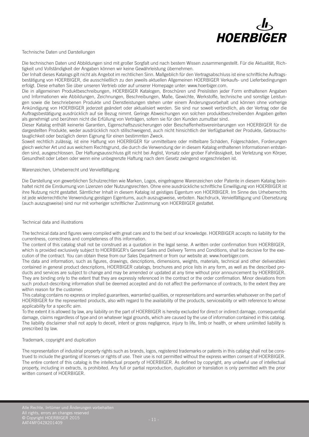

Technische Daten und Darstellungen

Die technischen Daten und Abbildungen sind mit großer Sorgfalt und nach bestem Wissen zusammengestellt. Für die Aktualität, Richtigkeit und Vollständigkeit der Angaben können wir keine Gewährleistung übernehmen.

Der Inhalt dieses Katalogs gilt nicht als Angebot im rechtlichen Sinn. Maßgeblich für den Vertragsabschluss ist eine schriftliche Auftragsbestätigung von HOERBIGER, die ausschließlich zu den jeweils aktuellen Allgemeinen HOERBIGER Verkaufs- und Lieferbedingungen erfolgt. Diese erhalten Sie über unseren Vertrieb oder auf unserer Homepage unter: www.hoerbiger.com.

Die in allgemeinen Produktbeschreibungen, HOERBIGER Katalogen, Broschüren und Preislisten jeder Form enthaltenen Angaben und Informationen wie Abbildungen, Zeichnungen, Beschreibungen, Maße, Gewichte, Werkstoffe, technische und sonstige Leistungen sowie die beschriebenen Produkte und Dienstleistungen stehen unter einem Änderungsvorbehalt und können ohne vorherige Ankündigung von HOERBIGER jederzeit geändert oder aktualisiert werden. Sie sind nur soweit verbindlich, als der Vertrag oder die Auftragsbestätigung ausdrücklich auf sie Bezug nimmt. Geringe Abweichungen von solchen produktbeschreibenden Angaben gelten als genehmigt und berühren nicht die Erfüllung von Verträgen, sofern sie für den Kunden zumutbar sind.

Dieser Katalog enthält keinerlei Garantien, Eigenschaftszusicherungen oder Beschaffenheitsvereinbarungen von HOERBIGER für die dargestellten Produkte, weder ausdrücklich noch stillschweigend, auch nicht hinsichtlich der Verfügbarkeit der Produkte, Gebrauchstauglichkeit oder bezüglich deren Eignung für einen bestimmten Zweck.

Soweit rechtlich zulässig, ist eine Haftung von HOERBIGER für unmittelbare oder mittelbare Schäden, Folgeschäden, Forderungen gleich welcher Art und aus welchem Rechtsgrund, die durch die Verwendung der in diesem Katalog enthaltenen Informationen entstanden sind, ausgeschlossen. Der Haftungsausschluss gilt nicht bei Arglist, Vorsatz oder grober Fahrlässigkeit, bei Verletzung von Körper, Gesundheit oder Leben oder wenn eine unbegrenzte Haftung nach dem Gesetz zwingend vorgeschrieben ist.

#### Warenzeichen, Urheberrecht und Vervielfältigung

Die Darstellung von gewerblichen Schutzrechten wie Marken, Logos, eingetragene Warenzeichen oder Patente in diesem Katalog beinhaltet nicht die Einräumung von Lizenzen oder Nutzungsrechten. Ohne eine ausdrückliche schriftliche Einwilligung von HOERBIGER ist ihre Nutzung nicht gestattet. Sämtlicher Inhalt in diesem Katalog ist geistiges Eigentum von HOERBIGER. Im Sinne des Urheberrechts ist jede widerrechtliche Verwendung geistigen Eigentums, auch auszugsweise, verboten. Nachdruck, Vervielfältigung und Übersetzung (auch auszugsweise) sind nur mit vorheriger schriftlicher Zustimmung von HOERBIGER gestattet.

#### Technical data and illustrations

The technical data and figures were compiled with great care and to the best of our knowledge. HOERBIGER accepts no liability for the currentness, correctness and completeness of this information.

The content of this catalog shall not be construed as a quotation in the legal sense. A written order confirmation from HOERBIGER, which is provided exclusively subject to HOERBIGER's General Sales and Delivery Terms and Conditions, shall be decisive for the execution of the contract. You can obtain these from our Sales Department or from our website at: www.hoerbiger.com.

The data and information, such as figures, drawings, descriptions, dimensions, weights, materials, technical and other deliverables contained in general product descriptions, HOERBIGER catalogs, brochures and price lists in any form, as well as the described products and services are subject to change and may be amended or updated at any time without prior announcement by HOERBIGER. They are binding only to the extent that they are expressly referenced in the contract or the order confirmation. Minor deviations from such product-describing information shall be deemed accepted and do not affect the performance of contracts, to the extent they are within reason for the customer.

This catalog contains no express or implied guarantees, warranted qualities, or representations and warranties whatsoever on the part of HOERBIGER for the represented products, also with regard to the availability of the products, serviceability or with reference to whose applicability for a specific aim.

To the extent it is allowed by law, any liability on the part of HOERBIGER is hereby excluded for direct or indirect damage, consequential damage, claims regardless of type and on whatever legal grounds, which are caused by the use of information contained in this catalog. The liability disclaimer shall not apply to deceit, intent or gross negligence, injury to life, limb or health, or where unlimited liability is prescribed by law.

#### Trademark, copyright and duplication

The representation of industrial property rights such as brands, logos, registered trademarks or patents in this catalog shall not be construed to include the granting of licenses or rights of use. Their use is not permitted without the express written consent of HOERBIGER. The entire content of this catalog is the intellectual property of HOERBIGER. As defined by copyright, any unlawful use of intellectual property, including in extracts, is prohibited. Any full or partial reproduction, duplication or translation is only permitted with the prior written consent of HOERBIGER.